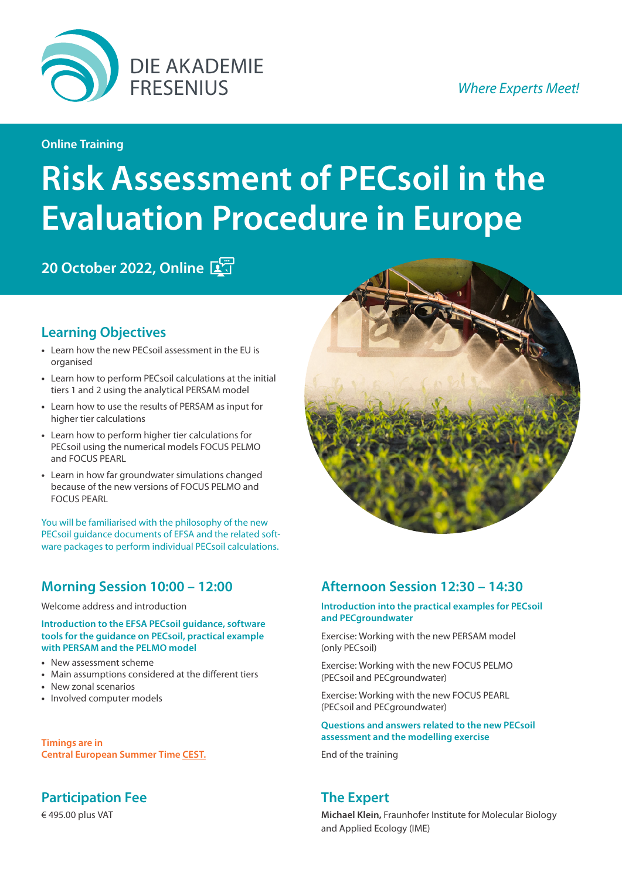

### **Online Training**

# **Risk Assessment of PECsoil in the Evaluation Procedure in Europe**

**20 October 2022, Online** 

## **Learning Objectives**

- **•** Learn how the new PECsoil assessment in the EU is organised
- **•** Learn how to perform PECsoil calculations at the initial tiers 1 and 2 using the analytical PERSAM model
- **•** Learn how to use the results of PERSAM as input for higher tier calculations
- **•** Learn how to perform higher tier calculations for PECsoil using the numerical models FOCUS PELMO and FOCUS PEARL
- **•** Learn in how far groundwater simulations changed because of the new versions of FOCUS PELMO and FOCUS PEARL

You will be familiarised with the philosophy of the new PECsoil guidance documents of EFSA and the related software packages to perform individual PECsoil calculations.

## **Morning Session 10:00 – 12:00**

Welcome address and introduction

**Introduction to the EFSA PECsoil guidance, software tools for the guidance on PECsoil, practical example with PERSAM and the PELMO model**

- **•** New assessment scheme
- **•** Main assumptions considered at the different tiers
- **•** New zonal scenarios
- **•** Involved computer models

**Timings are in [Central European Summer Time CEST.](https://www.timeanddate.com/worldclock/fixedtime.html?msg=Akademie+Fresenius+Online+Training%3A+Risk+Assessment+of+PECsoil+in+the+Evaluation+Procedure+in+Europe&iso=20221020T10&p1=315)**

## **Participation Fee**

€ 495.00 plus VAT



## **Afternoon Session 12:30 – 14:30**

### **Introduction into the practical examples for PECsoil and PECgroundwater**

Exercise: Working with the new PERSAM model (only PECsoil)

Exercise: Working with the new FOCUS PELMO (PECsoil and PECgroundwater)

Exercise: Working with the new FOCUS PEARL (PECsoil and PECgroundwater)

### **Questions and answers related to the new PECsoil assessment and the modelling exercise**

End of the training

## **The Expert**

**Michael Klein,** Fraunhofer Institute for Molecular Biology and Applied Ecology (IME)